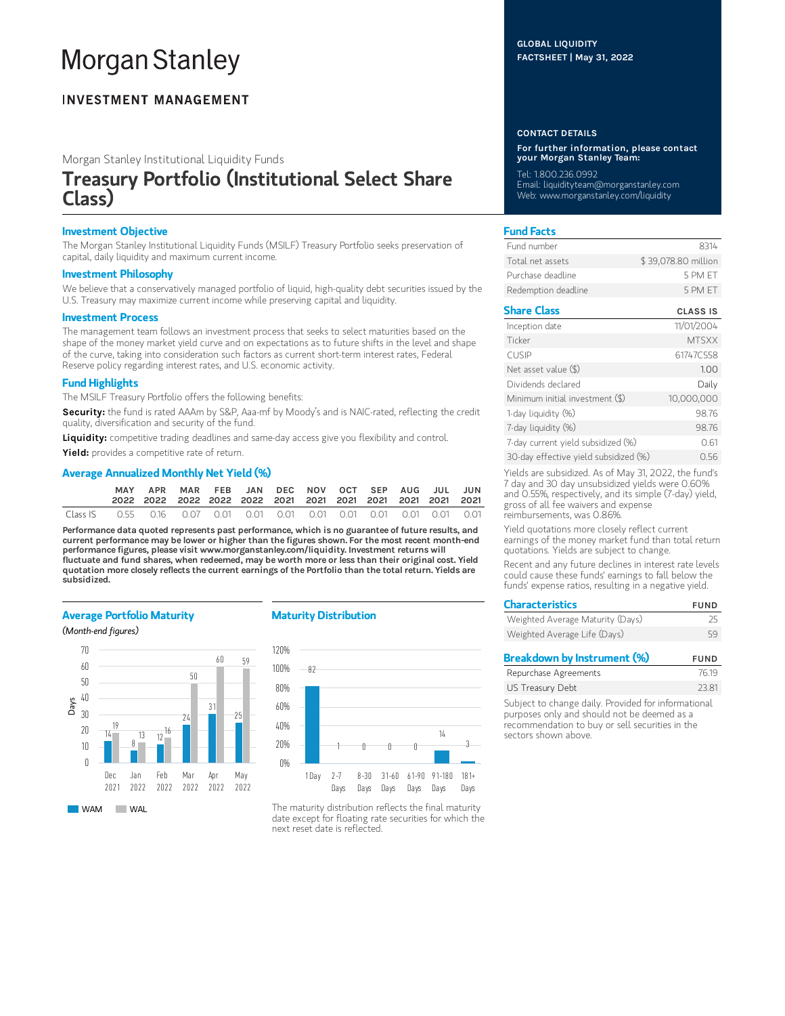# **Morgan Stanley**

### **INVESTMENT MANAGEMENT**

Morgan Stanley Institutional Liquidity Funds

## Treasury Portfolio (Institutional Select Share Class)

#### Investment Objective

The Morgan Stanley Institutional Liquidity Funds (MSILF) Treasury Portfolio seeks preservation of capital, daily liquidity and maximum current income.

#### Investment Philosophy

We believe that a conservatively managed portfolio of liquid, high-quality debt securities issued by the U.S. Treasury may maximize current income while preserving capital and liquidity.

#### Investment Process

The management team follows an investment process that seeks to select maturities based on the shape of the money market yield curve and on expectations as to future shifts in the level and shape of the curve, taking into consideration such factors as current short-term interest rates, Federal Reserve policy regarding interest rates, and U.S. economic activity.

#### Fund Highlights

The MSILF Treasury Portfolio offers the following benefits:

Security: the fund is rated AAAm by S&P, Aaa-mf by Moody's and is NAIC-rated, reflecting the credit quality, diversification and security of the fund.

Liquidity: competitive trading deadlines and same-day access give you flexibility and control.

Yield: provides a competitive rate of return.

#### Average Annualized Monthly Net Yield (%)

|          | APR |  | MAR FEB JAN DEC NOV OCT SEP AUG JUL JUN |  |  |  |  |
|----------|-----|--|-----------------------------------------|--|--|--|--|
| Class IS |     |  |                                         |  |  |  |  |

Performance data quoted represents past performance, which is no guarantee of future results, and current performance may be lower or higher than the figures shown. For the most recent month-end performance figures, please visit www.morganstanley.com/liquidity. Investment returns will fluctuate and fund shares, when redeemed, may be worth more or less than their original cost. Yield quotation more closely reflects the current earnings of the Portfolio than the total return. Yields are subsidized.

#### Average Portfolio Maturity

(Month-end figures)



#### Maturity Distribution



The maturity distribution reflects the final maturity date except for floating rate securities for which the next reset date is reflected.

#### GLOBAL LIQUIDITY FACTSHEET | May 31, 2022

#### CONTACT DETAILS

For further information, please contact your Morgan Stanley Team:

Tel: 1.800.236.0992 Email: liquidityteam@morganstanley.com Web: www.morganstanley.com/liquidity

#### Fund Facts

| Fund number         | 8314                |
|---------------------|---------------------|
| Total net assets    | \$39,078.80 million |
| Purchase deadline.  | 5 PM FT             |
| Redemption deadline | 5 PM FT             |

#### Share Class CLASS IS

| Inception date                        | 11/01/2004   |
|---------------------------------------|--------------|
| Ticker                                | <b>MTSXX</b> |
| <b>CUSIP</b>                          | 61747C558    |
| Net asset value $(\$)$                | 1.00         |
| Dividends declared                    | Daily        |
| Minimum initial investment (\$)       | 10,000,000   |
| 1-day liquidity (%)                   | 98.76        |
| 7-day liquidity (%)                   | 98.76        |
| 7-day current yield subsidized (%)    | 0.61         |
| 30-day effective yield subsidized (%) | 0.56         |

Yields are subsidized. As of May 31, 2022, the fund's 7 day and 30 day unsubsidized yields were 0.60% and 0.55%, respectively, and its simple (7-day) yield, gross of all fee waivers and expense reimbursements, was 0.86%.

Yield quotations more closely reflect current earnings of the money market fund than total return quotations. Yields are subject to change.

Recent and any future declines in interest rate levels could cause these funds' earnings to fall below the funds' expense ratios, resulting in a negative yield.

| <b>Characteristics</b>           | <b>FUND</b> |
|----------------------------------|-------------|
| Weighted Average Maturity (Days) | 25          |
| Weighted Average Life (Days)     | 59          |
|                                  |             |

| Breakdown by Instrument (%) | <b>FUND</b> |
|-----------------------------|-------------|
| Repurchase Agreements       | 76.19       |
| US Treasury Debt            | 23.81       |
|                             |             |

Subject to change daily. Provided for informational purposes only and should not be deemed as a recommendation to buy or sell securities in the sectors shown above.